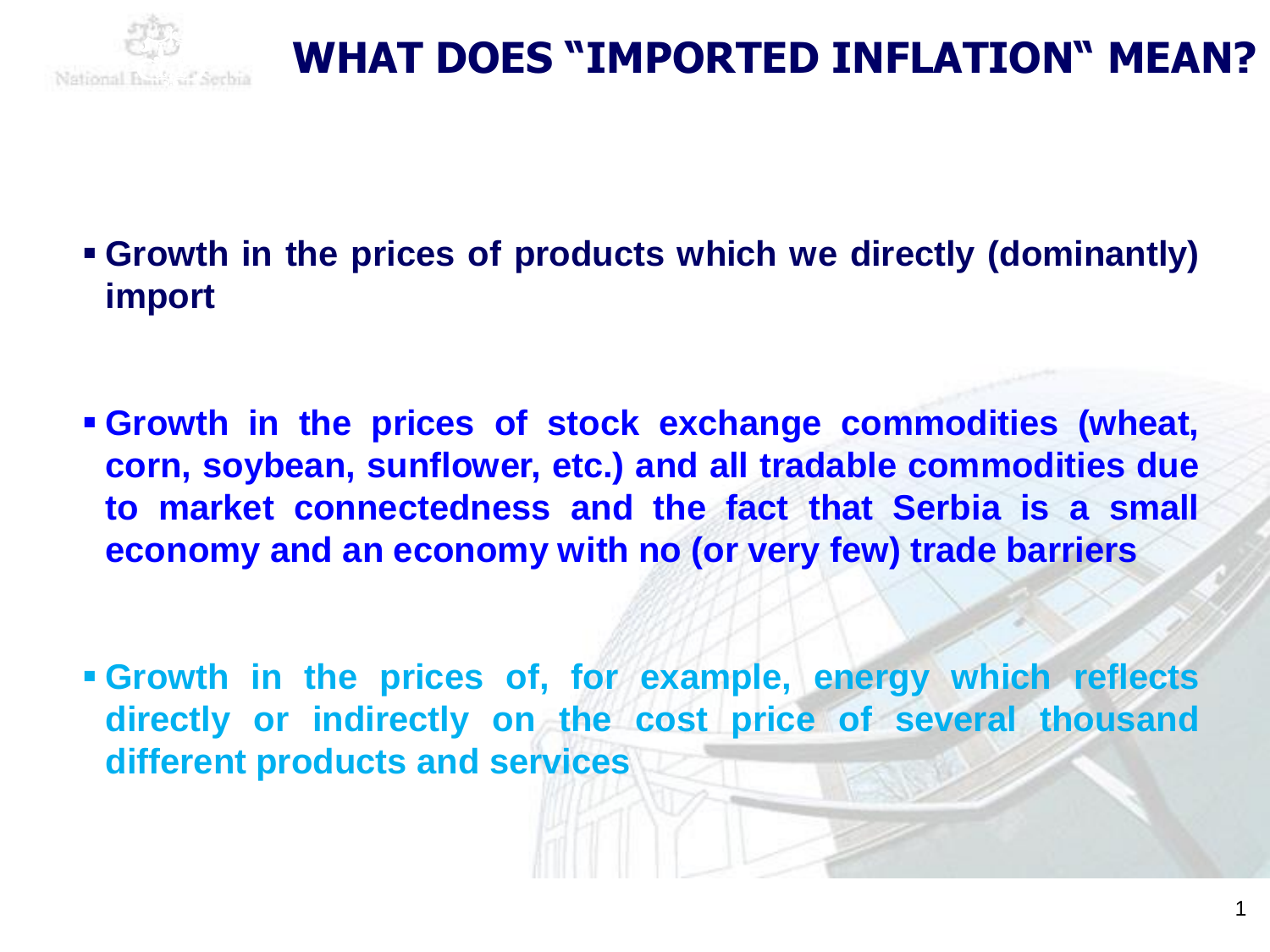

- **Growth in the prices of products which we directly (dominantly) import**
- **Growth in the prices of stock exchange commodities (wheat, corn, soybean, sunflower, etc.) and all tradable commodities due to market connectedness and the fact that Serbia is a small economy and an economy with no (or very few) trade barriers**
- **Growth in the prices of, for example, energy which reflects directly or indirectly on the cost price of several thousand different products and services**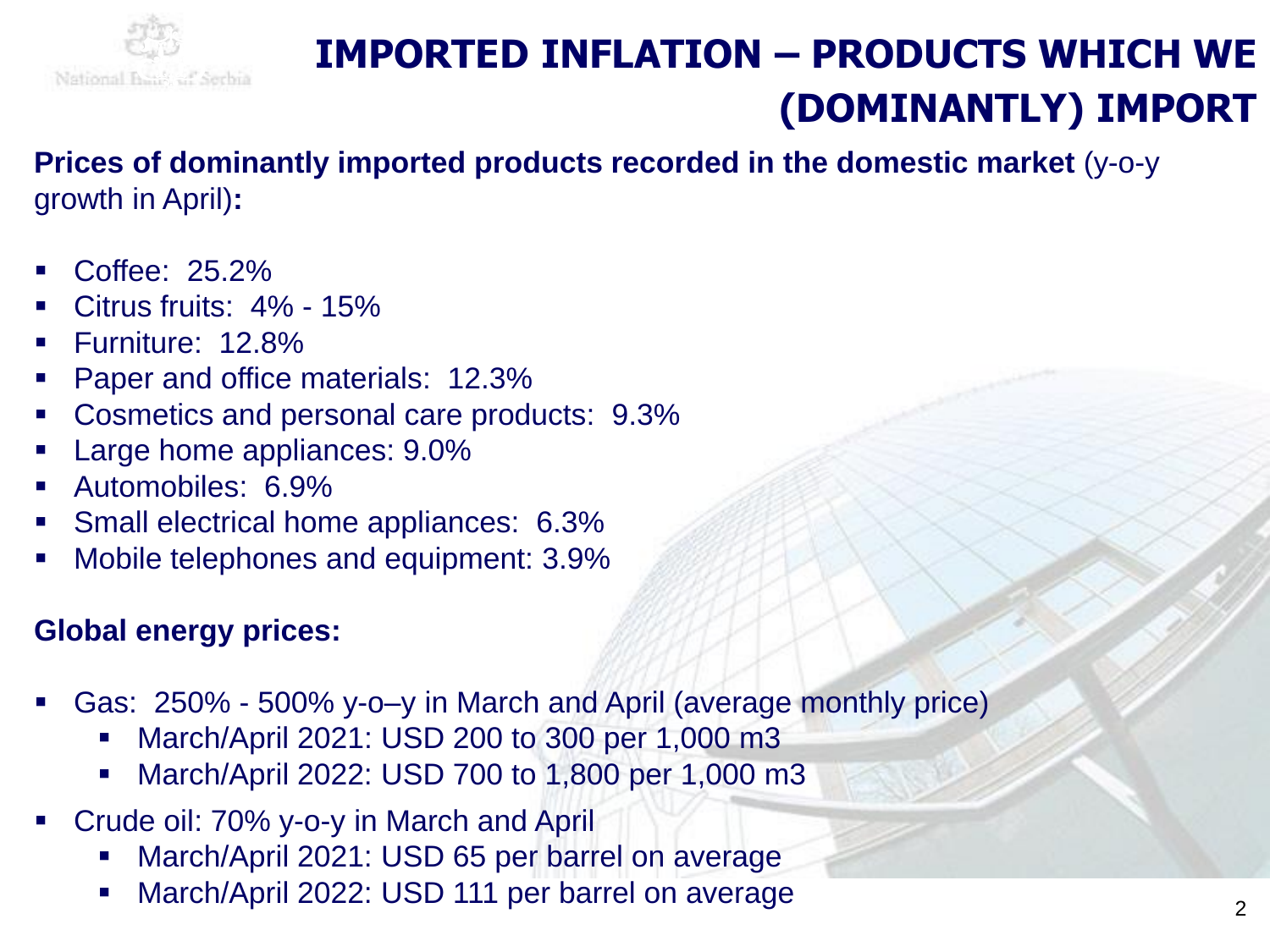

## **IMPORTED INFLATION – PRODUCTS WHICH WE (DOMINANTLY) IMPORT**

**Prices of dominantly imported products recorded in the domestic market** (y-o-y growth in April)**:**

- Coffee: 25.2%
- Citrus fruits: 4% 15%
- Furniture: 12.8%
- Paper and office materials: 12.3%
- Cosmetics and personal care products: 9.3%
- Large home appliances: 9.0%
- Automobiles: 6.9%
- **Small electrical home appliances: 6.3%**
- Mobile telephones and equipment: 3.9%

### **Global energy prices:**

- Gas: 250% 500% y-o-y in March and April (average monthly price)
	- March/April 2021: USD 200 to 300 per 1,000 m3
	- March/April 2022: USD 700 to 1,800 per 1,000 m3
- Crude oil: 70% y-o-y in March and April
	- March/April 2021: USD 65 per barrel on average
	- March/April 2022: USD 111 per barrel on average  $22$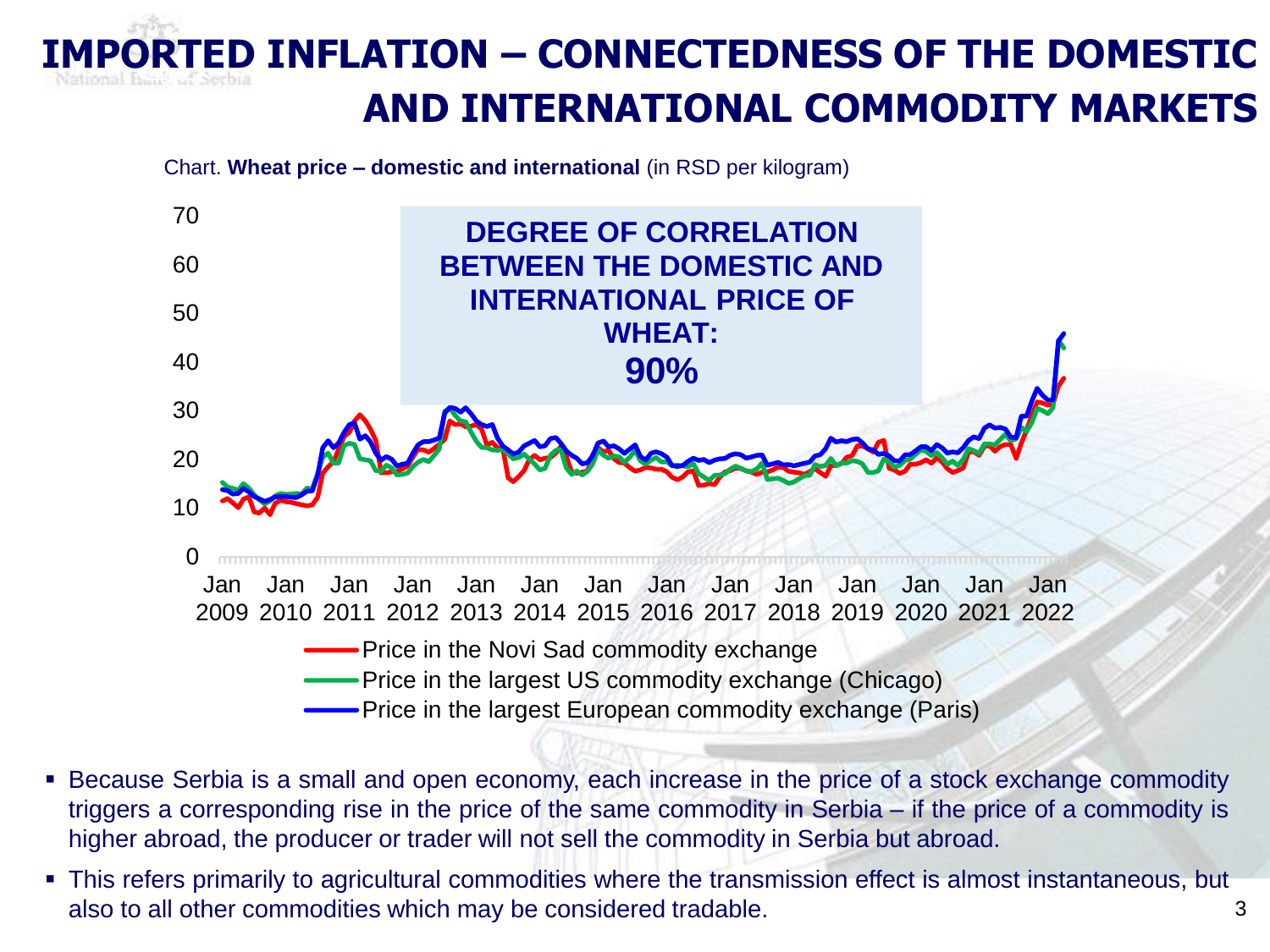# **INFLATION – CONNECTEDNESS OF THE DOMESTIC AND INTERNATIONAL COMMODITY MARKETS**

Chart. **Wheat price – domestic and international** (in RSD per kilogram)



- **EXEC** Because Serbia is a small and open economy, each increase in the price of a stock exchange commodity triggers a corresponding rise in the price of the same commodity in Serbia – if the price of a commodity is higher abroad, the producer or trader will not sell the commodity in Serbia but abroad.
- This refers primarily to agricultural commodities where the transmission effect is almost instantaneous, but also to all other commodities which may be considered tradable.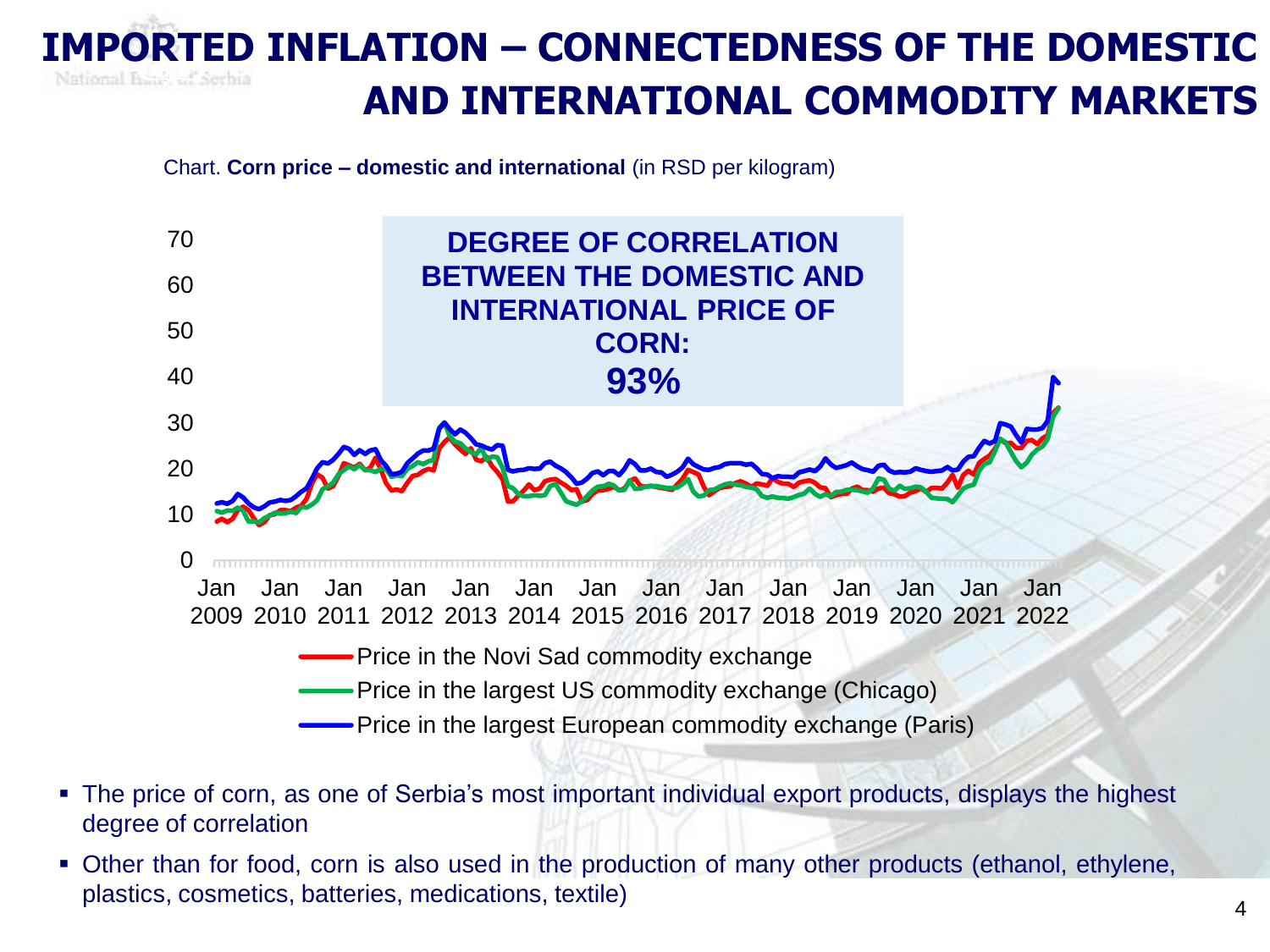#### **IMPORTED INFLATION – CONNECTEDNESS OF THE DOMESTIC**  National Beaker! Serbia **AND INTERNATIONAL COMMODITY MARKETS**

Chart. **Corn price – domestic and international** (in RSD per kilogram)



- The price of corn, as one of Serbia's most important individual export products, displays the highest degree of correlation
- **Other than for food, corn is also used in the production of many other products (ethanol, ethylene,** plastics, cosmetics, batteries, medications, textile)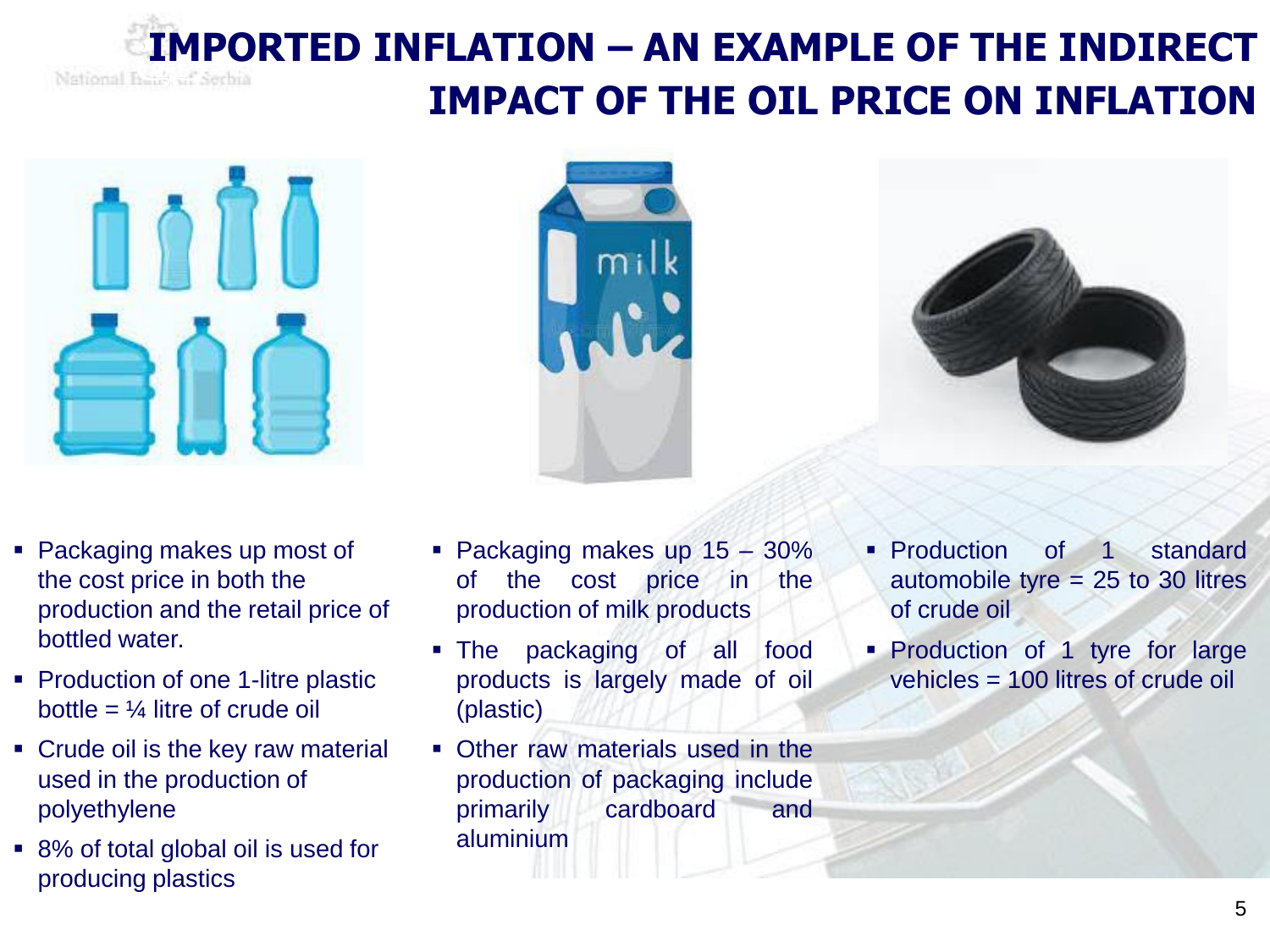## **IMPORTED INFLATION – AN EXAMPLE OF THE INDIRECT IMPACT OF THE OIL PRICE ON INFLATION**



- Packaging makes up most of the cost price in both the production and the retail price of bottled water.
- Production of one 1-litre plastic bottle =  $\frac{1}{4}$  litre of crude oil
- Crude oil is the key raw material used in the production of polyethylene
- 8% of total global oil is used for producing plastics



- The packaging of all food products is largely made of oil (plastic)
- Other raw materials used in the production of packaging include primarily cardboard and aluminium
- **Production of 1 standard** automobile tyre = 25 to 30 litres of crude oil
- **Production of 1 tyre for large** vehicles = 100 litres of crude oil